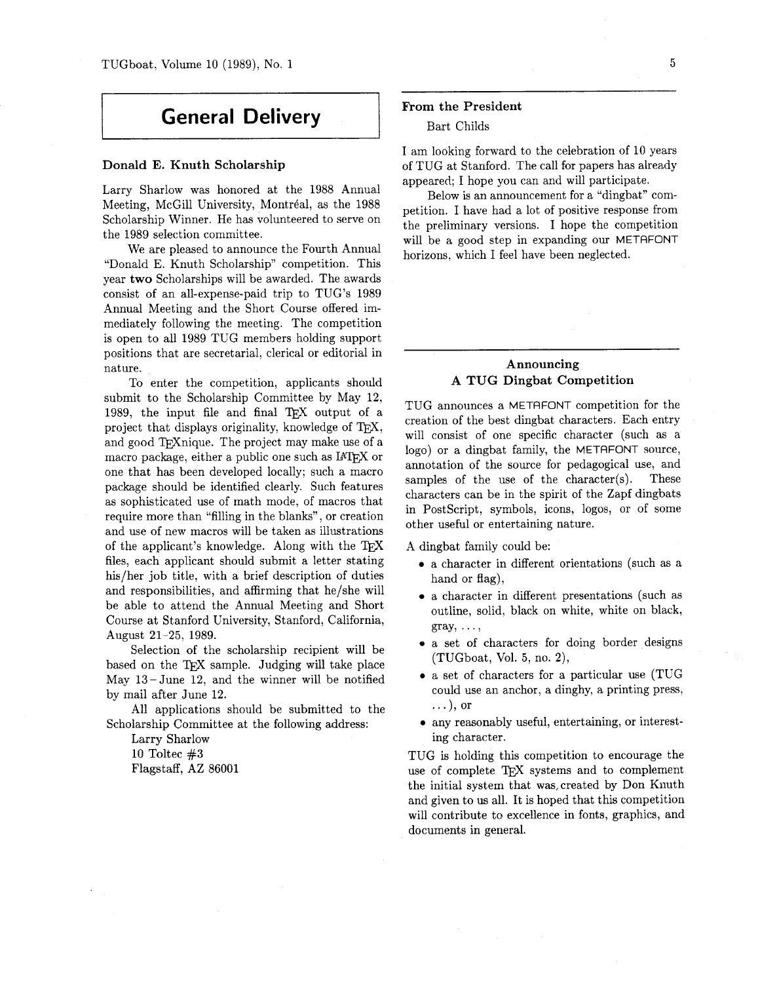# **General Delivery**

### Donald E. Knuth Scholarship

Larry Sharlow was honored at the 1988 Annual Meeting, McGill University, Montréal, as the 1988 Scholarship Winner. He has volunteered to serve on the 1989 selection committee.

We are pleased to announce the Fourth Annual "Donald E. Knuth Scholarship" competition. This year two Scholarships will be awarded. The awards consist of an all-expense-paid trip to TUG'S 1989 Annual Meeting and the Short Course offered immediately following the meeting. The competition is open to all 1989 TUG members holding support positions that are secretarial, clerical or editorial in nature.

To enter the competition, applicants should submit to the Scholarship Committee by May 12, 1989, the input file and final TFX output of a project that displays originality, knowledge of TEX, and good T<sub>F</sub>Xnique. The project may make use of a macro package, either a public one such as IATEX or one that has been developed locally; such a macro package should be identified clearly. Such features as sophisticated use of math mode, of macros that require more than "filling in the blanks", or creation and use of new macros will be taken as illustrations of the applicant's knowledge. Along with the TEX files, each applicant should submit a letter stating his/her job title, with a brief description of duties and responsibilities, and affirming that he/she will be able to attend the Annual Meeting and Short Course at Stanford University, Stanford, California, August 21-25, 1989.

Selection of the scholarship recipient will be based on the TFX sample. Judging will take place May 13 -June 12, and the winner will be notified by mail after June 12.

All applications should be submitted to the Scholarship Committee at the following address:

Larry Sharlow 10 Toltec **#3**  Flagstaff, AZ 86001

#### From the President

#### Bart Childs

I am looking forward to the celebration of 10 years of TUG at Stanford. The call for papers has already appeared; I hope you can and will participate.

Below is an announcement for a "dingbat" competition. I have had a lot of positive response from the preliminary versions. I hope the competition will be a good step in expanding our METAFONT horizons, which I feel have been neglected.

## Announcing **A** TUG Dingbat Competition

TUG announces a METAFONT competition for the creation of the best dingbat characters. Each entry will consist of one specific character (such as a logo) or a dingbat family, the METAFONT source, annotation of the source for pedagogical use, and samples of the use of the character(s). These characters can be in the spirit of the Zapf dingbats in PostScript, symbols, icons, logos, or of some other useful or entertaining nature.

A dingbat family could be:

- a character in different orientations (such as a hand or flag),
- a character in different presentations (such as outline, solid, black on white, white on black,  $gray, \ldots$
- a set of characters for doing border designs (TUGboat, Vol. 5, no. 2),
- a set of characters for a particular use (TUG could use an anchor, a dinghy, a printing press, .. .), or
- any reasonably useful, entertaining, or interesting character.

TUG is holding this competition to encourage the use of complete TFX systems and to complement the initial system that was,created by Don Knuth and given to us all. It is hoped that this competition will contribute to excellence in fonts, graphics, and documents in general.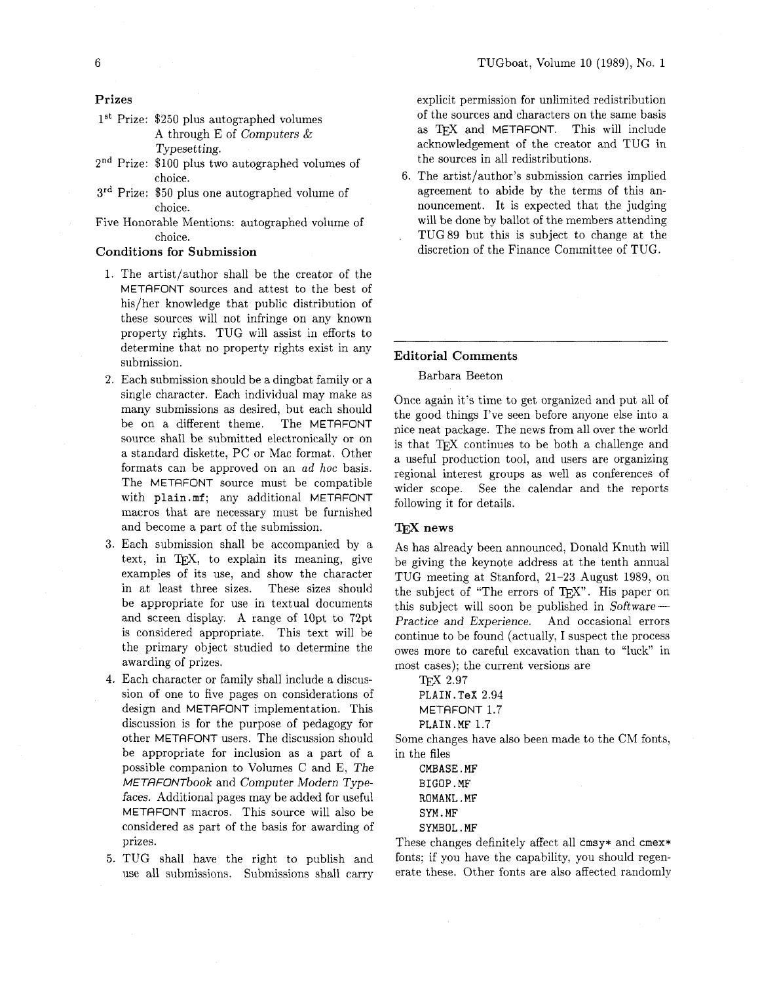**Prizes** 

- $1<sup>st</sup>$  Prize: \$250 plus autographed volumes A through E of Computers & Typesetting.
- **2"d** Prize: \$100 plus two autographed volumes of choice.
- 3<sup>rd</sup> Prize: \$50 plus one autographed volume of choice.
- Five Honorable Mentions: autographed volume of choice.

# **Conditions for Submission**

- 1. The artist/author shall be the creator of the METAFONT sources and attest to the best of his/her knowledge that public distribution of these sources will not infringe on any known property rights. TUG will assist in efforts to determine that no property rights exist in any submission.
- 2. Each submission should be a dingbat family or a single character. Each individual may make as many submissions as desired, but each should be on a different theme. The METAFONT source shall be submitted electronically or on a standard diskette, PC or Mac format. Other formats can be approved on an ad *hoc* basis. The METAFONT source must be compatible with plain. **mf** ; any additional METAFONT macros that are necessary must be furnished and become a part of the submission.
- 3. Each submission shall be accompanied by a text, in TEX, to explain its meaning, give examples of its use, and show the character in at least three sizes. These sizes should be appropriate for use in textual documents and screen display. A range of lOpt to 72pt is considered appropriate. This text will be the primary object studied to determine the awarding of prizes.
- 4. Each character or family shall include a discussion of one to five pages on considerations of design and METAFONT implementation. This discussion is for the purpose of pedagogy for other METAFONT users. The discussion should be appropriate for inclusion as a part of a possible companion to Volumes C and E, The METRFONTbook and Computer Modern Typefaces. Additional pages may be added for useful METAFONT macros. This source will also be considered as part of the basis for awarding of prizes.
- 5. TUG shall have the right to publish and use all submissions. Submissions shall carry

explicit permission for unlimited redistribution of the sources and characters on the same basis as TFX and METAFONT. This will include acknowledgement of the creator and TUG in the sources in all redistributions.

6. The artist/author's submission carries implied agreement to abide by the terms of this announcement. It is expected that the judging will be done by ballot of the members attending TUG 89 but this is subject to change at the discretion of the Finance Committee of TUG.

### **Editorial Comments**

#### Barbara Beeton

Once again it's time to get organized and put all of the good things I've seen before anyone else into a nice neat package. The news from all over the world is that TEX continues to be both a challenge and a useful production tool, and users are organizing regional interest groups as well as conferences of wider scope. See the calendar and the reports following it for details.

#### **news**

As has already been announced, Donald Knuth will be giving the keynote address at the tenth annual TUG meeting at Stanford, 21-23 August 1989, on the subject of "The errors of T<sub>F</sub>X". His paper on this subject will soon be published in  $Software-$ Practice and Experience. And occasional errors continue to be found (actually, I suspect the process owes more to careful excavation than to "luck" in most cases); the current versions are

2.97 **PLAIN. TeX** 2.94 METAFONT 1.7 **PLAIN .MF** 1.7

Some changes have also been made to the CM fonts, in the files

**CMBASE** . **MF BIGOP. MF ROMANL** . **MF SYM** . **MF SYMBOL. MF** 

These changes definitely affect all **cmsy\*** and **cmex\***  fonts; if you have the capability, you should regenerate these. Other fonts are also affected randomly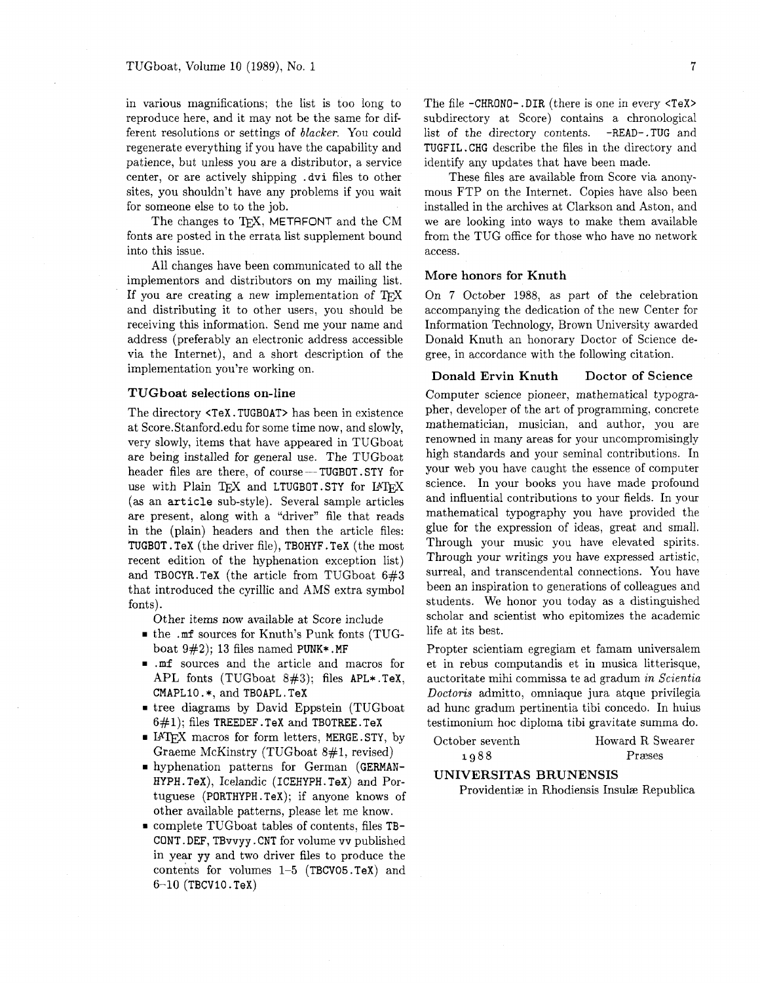in various magnifications; the list is too long to reproduce here, and it may not be the same for different resolutions or settings of blacker. You could regenerate everything if you have the capability and patience, but unless you are a distributor, a service center, or are actively shipping . dvi files to other sites, you shouldn't have any problems if you wait for someone else to to the job.

The changes to TFX, METAFONT and the CM fonts are posted in the errata list supplement bound into this issue.

All changes have been communicated to all the implementors and distributors on my mailing list. If you are creating a new implementation of TpX and distributing it to other users, you should be receiving this information. Send me your name and address (preferably an electronic address accessible via the Internet), and a short description of the implementation you're working on.

#### **TUG boat selections on-line**

The directory <TeX. TUGBOAT> has been in existence at Score.Stanford.edu for some time now, and slowly, very slowly, items that have appeared in TUGboat ery slowly, hellis that have appeared in 10Gooat<br>are being installed for general use. The TUGboat<br>header files are there, of course --TUGBOT .STY for use with Plain TFX and LTUGBOT. STY for IATFX (as an article sub-style). Several sample articles are present, along with a "driver" file that reads in the (plain) headers and then the article files: TUGBOT . TeX (the driver file), TBOHYF . TeX (the most recent edition of the hyphenation exception list) and TBOCYR.TeX (the article from TUGboat 6#3 that introduced the cyrillic and AMS extra symbol fonts).

Other items now available at Score include

- the .mf sources for Knuth's Punk fonts (TUGboat  $9#2$ ); 13 files named PUNK\*.MF
- .mf sources and the article and macros for APL fonts (TUGboat 8#3); files APL\*.TeX, CMAPLIO . \*, and TBOAPL . TeX
- tree diagrams by David Eppstein (TUGboat  $6#1$ ); files TREEDEF. TeX and TBOTREE. TeX
- **FIATEX** macros for form letters, MERGE. STY, by Graeme McKinstry (TUGboat 8#1, revised)
- hyphenation patterns for German (GERMAN-HYPH. TeX), Icelandic (ICEHYPH. TeX) and Portuguese (PORTHYPH.TeX); if anyone knows of other available patterns, please let me know.
- complete TUGboat tables of contents, files TB-CONT . DEF, TBvvyy . CNT for volume vv published in year yy and two driver files to produce the contents for volumes 1-5 (TBCVOS . TeX) and  $6-10$  (TBCV10.TeX)

The file -CHRONO- . DIR (there is one in every <TeX> subdirectory at Score) contains a chronological list of the directory contents. -READ- .TUG and TUGFIL. CHG describe the files in the directory and identify any updates that have been made.

These files are available from Score via anonymous FTP on the Internet. Copies have also been installed in the archives at Clarkson and Aston, and we are looking into ways to make them available from the TUG office for those who have no network access.

#### **More honors for Knuth**

On 7 October 1988, as part of the celebration accompanying the dedication of the new Center for Information Technology, Brown University awarded Donald Knuth an honorary Doctor of Science degree, in accordance with the following citation.

#### **Donald Ervin Knuth Doctor of Science**

Computer science pioneer, mathematical typographer, developer of the art of programming, concrete mathematician, musician, and author, you are renowned in many areas for your uncompromisingly high standards and your seminal contributions. In your web you have caught the essence of computer science. In your books you have made profound and influential contributions to your fields. In your mathematical typography you have provided the glue for the expression of ideas, great and small. Through your music you have elevated spirits. Through your writings you have expressed artistic, surreal, and transcendental connections. You have been an inspiration to generations of colleagues and students. We honor you today as a distinguished scholar and scientist who epitomizes the academic life at its best.

Propter scientiam egregiam et famam universalem et in rebus computandis et in musica litterisque, auctoritate mihi commissa te ad gradum *in Scientia Doctoris* admitto, omniaque jura atque privilegia ad hunc gradum pertinentia tibi concedo. In huius testimonium hoc diploma tibi gravitate summa do.

| October seventh | Howard R Swearer |
|-----------------|------------------|
| 1988            | Præses           |

# **UNIVERSITAS BRUNENSIS**

Providentize in Rhodiensis Insulze Republica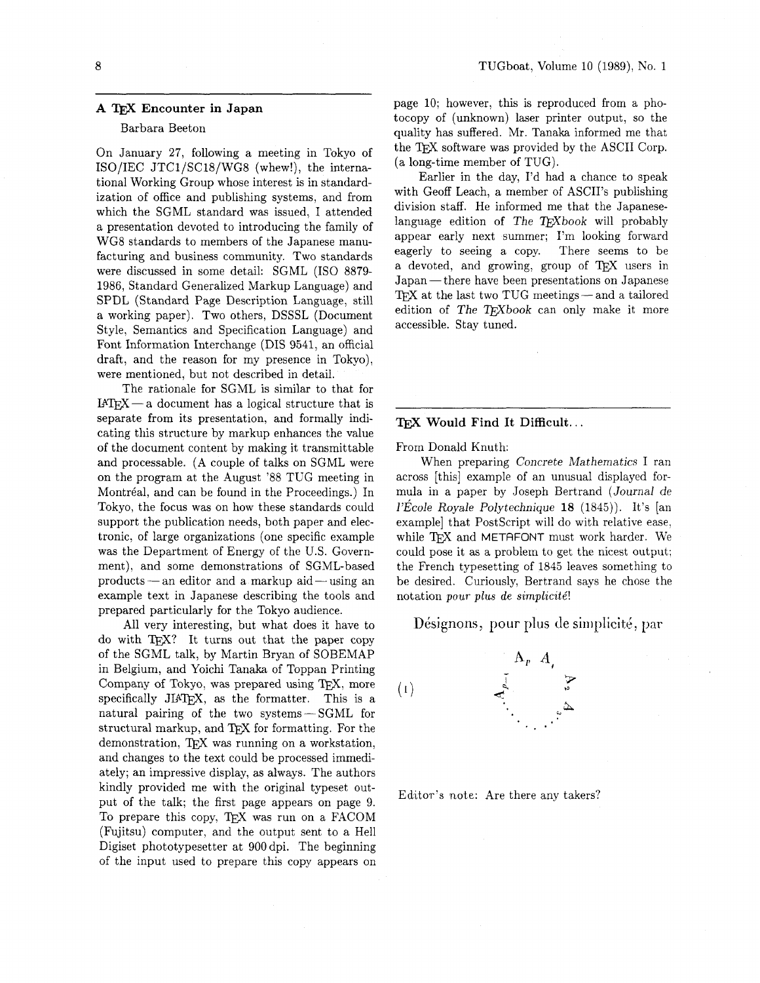# **A** TEX **Encounter in Japan**

#### Barbara Beeton

On January 27, following a meeting in Tokyo of ISO/IEC JTCl/SCl8/WG8 (whew!), the international Working Group whose interest is in standardization of office and publishing systems, and from which the SGML standard was issued, I attended a presentation devoted to introducing the family of WG8 standards to members of the Japanese manufacturing and business community. Two standards were discussed in some detail: SGML (IS0 8879- 1986, Standard Generalized Markup Language) and SPDL (Standard Page Description Language, still a working paper). Two others, DSSSL (Document Style, Semantics and Specification Language) and Font Information Interchange (DIS 9541, an official draft, and the reason for my presence in Tokyo), were mentioned, but not described in detail.

The rationale for SGML is similar to that for  $IATEX - a document has a logical structure that is$ separate from its presentation, and formally indicating this structure by markup enhances the value of the document content by making it transmittable and processable. (A couple of talks on SGML were on the program at the August '88 TUG meeting in Montréal, and can be found in the Proceedings.) In Tokyo, the focus was on how these standards could support the publication needs, both paper and electronic, of large organizations (one specific example was the Department of Energy of the U.S. Government), and some demonstrations of SGML-based was the Department or Energy of the U.S. Government), and some demonstrations of SGML-based<br>products - an editor and a markup aid - using an<br>amazonale test in Jacquese describing the technology example text in Japanese describing the tools and prepared particularly for the Tokyo audience.

All very interesting, but what does it have to do with TFX? It turns out that the paper copy of the SGML talk, by Martin Bryan of SOBEMAP in Belgium, and Yoichi Tanaka of Toppan Printing Company of Tokyo, was prepared using TEX, more specifically JIAT<sub>F</sub>X, as the formatter. This is a natural pairing of the two systems-SGML for structural markup, and TFX for formatting. For the demonstration, TFX was running on a workstation, and changes to the text could be processed immediately; an impressive display, as always. The authors kindly provided me with the original typeset output of the talk; the first page appears on page 9. To prepare this copy, TFX was run on a FACOM (Fujitsu) computer, and the output sent to a Hell Digiset phototypesetter at 900 dpi. The beginning of the input used to prepare this copy appears on page 10; however, this is reproduced from a photocopy of (unknown) laser printer output, so the quality has suffered. Mr. Tanaka informed me that the T<sub>F</sub>X software was provided by the ASCII Corp. (a long-time member of TUG).

Earlier in the day, I'd had a chance to speak with Geoff Leach, a member of ASCII's publishing division staff. He informed me that the Japaneselanguage edition of The  $T<sub>E</sub>Xbook$  will probably appear early next summer; I'm looking forward eagerly to seeing a copy. There seems to be a devoted, and growing, group of TEX users in devoted, and growing, group of TEA users in<br>Japan— there have been presentations on Japanese<br>TEX at the last two TUG meetings— and a tailored<br>adition of The TEV hade are submuched it mans edition of The T $FX$ book can only make it more accessible. Stay tuned.

### **1FX Would Find It Difficult...**

From Donald Knuth:

When preparing Concrete Mathematics I ran across [this] example of an unusual displayed formula in a paper by Joseph Bertrand (Journal de  $1'Ecole Royale Polytechnique$  18 (1845)). It's [an example] that PostScript will do with relative ease, while T<sub>F</sub>X and METAFONT must work harder. We could pose it as a problem to get the nicest output; the French typesetting of 1845 leaves something to be desired. Curiously, Bertrand says he chose the notation *pour plus* de *simplicite'!* 

Désignons, pour plus de simplicité, par



Editor's note: Are there any takers?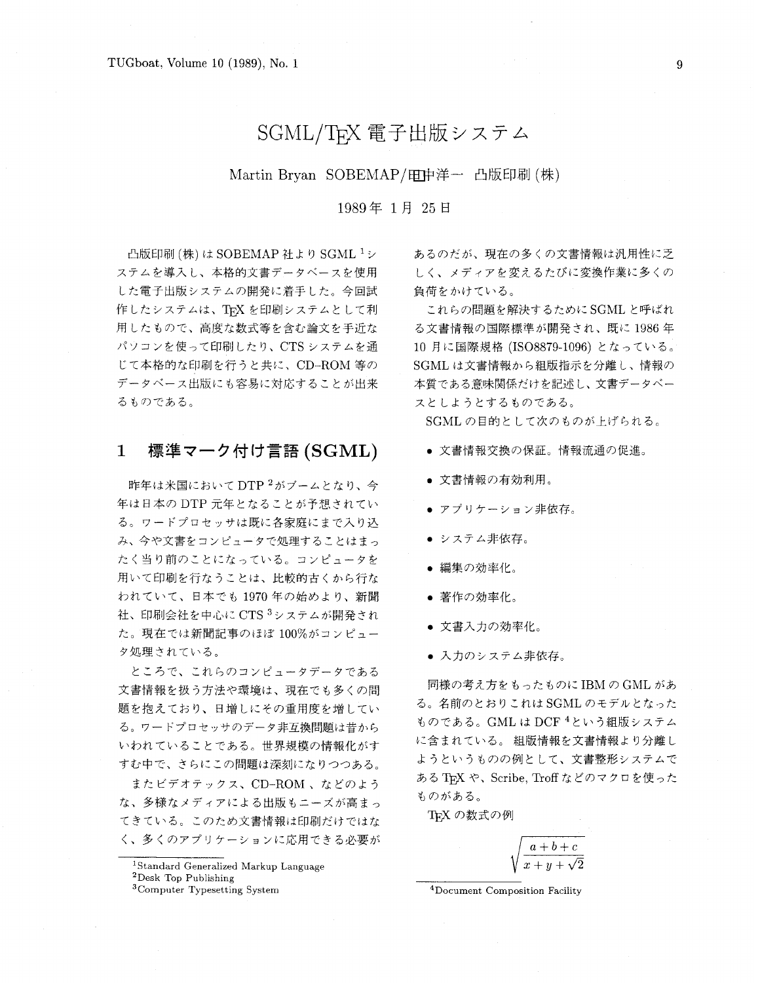# SGML/TEX 電子出版システム

Martin Bryan SOBEMAP/电中洋一 凸版印刷 (株)

# 1989年1月25日

凸版印刷 (株) は SOBEMAP 社より SGML 1シ ステムを導入し、本格的文書データベースを使用 した電子出版システムの開発に着手した。今回試 作したシステムは、TFX を印刷システムとして利 用したもので、高度な数式等を含む論文を手近な パソコンを使って印刷したり、CTSシステムを通 じて本格的な印刷を行うと共に、CD-ROM等の データベース出版にも容易に対応することが出来 るものである。

#### 標準マーク付け言語 (SGML)  $\mathbf 1$

昨年は米国においてDTP<sup>2</sup>がブームとなり、今 年は日本の DTP 元年となることが予想されてい る。ワードプロセッサは既に各家庭にまで入り込 み、今や文書をコンピュータで処理することはまっ たく当り前のことになっている。コンピュータを 用いて印刷を行なうことは、比較的古くから行な われていて、日本でも1970年の始めより、新聞 社、印刷会社を中心に CTS 3システムが開発され た。現在では新聞記事のほぼ 100%がコンピュー タ処理されている。

ところで、これらのコンピュータデータである 文書情報を扱う方法や環境は、現在でも多くの問 題を抱えており、日増しにその重用度を増してい る。ワードプロセッサのデータ非互換問題は昔から いわれていることである。世界規模の情報化がす すむ中で、さらにこの問題は深刻になりつつある。

またビデオテックス、CD-ROM、などのよう な、多様なメディアによる出版もニーズが高まっ てきている。このため文書情報は印刷だけではな く、多くのアプリケーションに応用できる必要が あるのだが、現在の多くの文書情報は汎用性に乏 しく、メディアを変えるたびに変換作業に多くの 負荷をかけている。

これらの問題を解決するためにSGMLと呼ばれ る文書情報の国際標準が開発され、既に1986年 10 月に国際規格 (ISO8879-1096) となっている。 SGML は文書情報から組版指示を分離し、情報の 本質である意味関係だけを記述し、文書データベー スとしようとするものである。

SGML の目的として次のものが上げられる。

- 文書情報交換の保証。情報流通の促進。
- 文書情報の有効利用。
- アプリケーション非依存。
- システム非依存。
- 編集の効率化。
- 著作の効率化。
- 文書入力の効率化。
- 入力のシステム非依存。

同様の考え方をもったものに IBM の GML があ る。名前のとおりこれは SGML のモデルとなった ものである。GML は DCF <sup>4</sup>という組版システム に含まれている。 組版情報を文書情報より分離し ようというものの例として、文書整形システムで ある TpX や、Scribe, Troff などのマクロを使った ものがある。

TFX の数式の例

 $a+b+c$ 

<sup>4</sup>Document Composition Facility

<sup>&</sup>lt;sup>1</sup>Standard Generalized Markup Language

 $^2\mathrm{Desk}$  Top Publishing

<sup>&</sup>lt;sup>3</sup>Computer Typesetting System